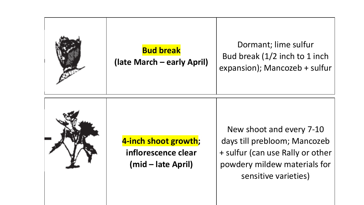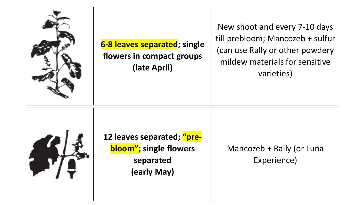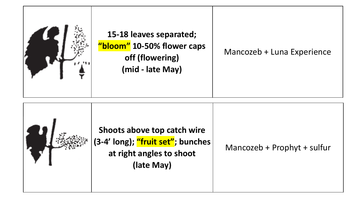

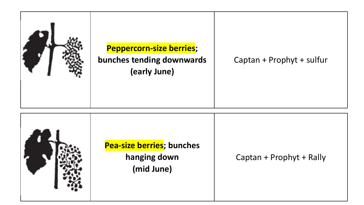

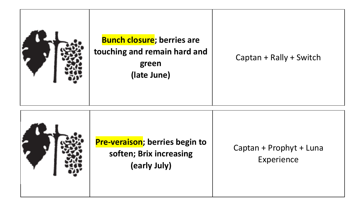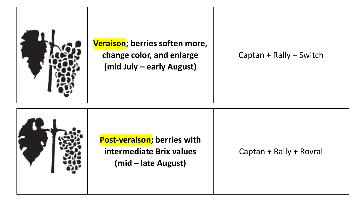

**Veraison; berries soften more, change color, and enlarge (mid July – early August)**

Captan + Rally + Switch

**Growth stage Post-veraison; berries with intermediate Brix values (mid – late August)** Captan + Rally + Rovral